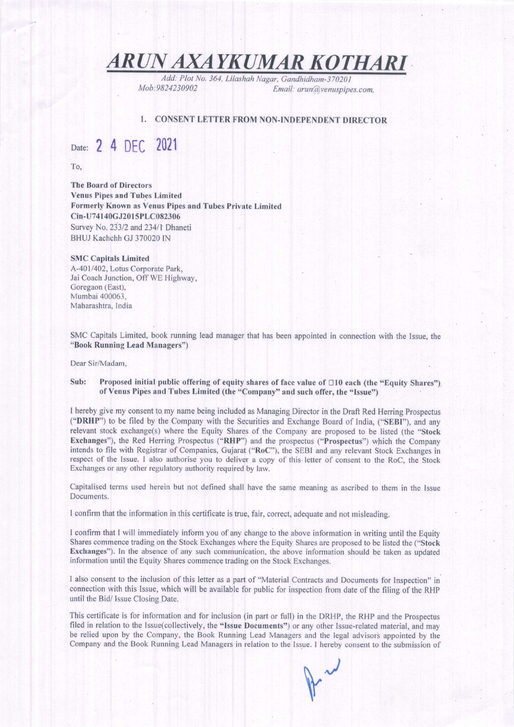### ARUN AXAYKUMAR KOTHARI

Add: Plot No. 364, Lilashah Nagar, Gandhidham-370201<br>Mob:9824230902<br>Email: arun@venuspine Email: arun@venuspipes.com,

#### I. CONSENT LETTER FROM NON-INDEPENDENT DIRECTOR

### Date: 2 4 DEC 2021

To,

The Board of Directors Venus Pipes and Tubes Limited Formerly Known as Venus Pipes and Tubes Private Limited Cin-U74140GJ201 5PLC082306 Survey No. 233/2 and 234/1 Dhaneti BHUJ Kachchh GJ 370020 IN

#### SMC Capitals Limited

A-401'402. Lotus Corporate Park. Jai Coach Junction, Off WE Highway, Goregaon (East), Mumbai 400063. Maharashtra. India

SMC Capitals Limited, book running lead manager that has been appointed in connection with the lssue, the "Book Running Lead Managers")

Dear Sir/Madam,

#### Sub: Proposed initial public offering of equity shares of face value of  $\Box$ 10 each (the "Equity Shares") of Venus Pipes and Tubes Limited (the "Company" and such offer, the "Issue")

I hereby give my consent to my name being included as Managing Director in the Draft Red Herring Prospectus ("DRHP") to be filed by the Company with the Securities and Exchange Board of India, ("SEBI"), and any relevant stock exchange(s) where the Equity Shares of the Company are proposed to be listed (the "Stock Exchanges"), the Red Herring Prospectus ("RHP") and the prospectus ("Prospectus") which the Company intends to file with Registrar of Companies, Gujarat ("RoC"), the SEBI and any relevant Stock Exchanges in respect of the Issue. I also authorise you to deliver a copy of this letter of consent to the RoC, the Stock Exchanges or any other regulatory authority required by law.

Capitalised terms used herein but not defined shall have the same meaning as ascribed to them in the Issue Documents.

I confirm that the information in this certificate is true, fair, correct, adequate and not misleading.

I confirm that I will immediately inform you of any change to the above information in writing until the Equity Shares commence trading on the Stock Exchanges where the Equity Shares are proposed to be listed the ("Stock Exchanges"). In the abserce of any such communication, the above information should be taken as updated information until the Equity Shares commence trading on the Stock Exchanges.

I also consent to the inclusion of this letter as a part of "Material Contracts and Documents for Inspection" in connection with this Issue, which will be available for public for inspection from date ofthe filing ofthe RHP until the Bid/ Issue Closing Date.

This certificate is for information and for inclusion (in part or full) in the DRHP, the RHP and the Prospectus filed in relation to the Issue(collectively, the "Issue Documents") or any other Issue-related material, and may be relied upon by the Company, the Book Running Lead Managers and the legal advisors appointed by the Company and the Book Running Lead Managers in relation to the Issue. I hereby consent to the submission of

 $\vert$ ,  $\vert$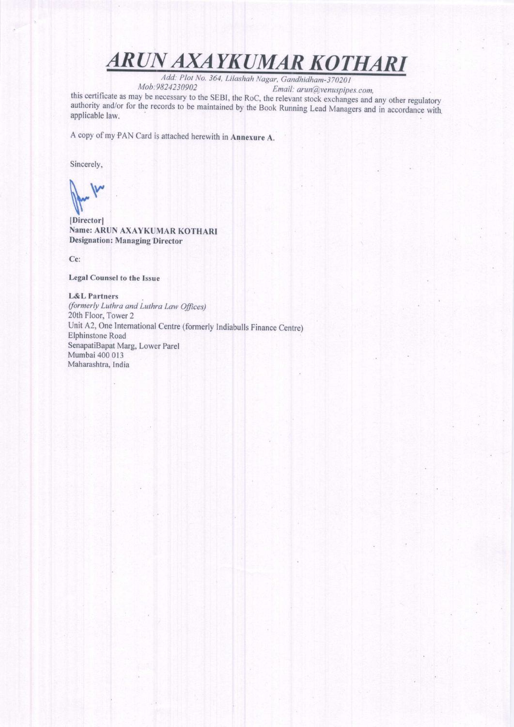# ARUN AXAYKUMAR KOTHARI

Add: Plot No. 364, Lilashah Nagar, Gandhidham-370201<br>Mob:9824230902 Email: arun@venuspipes.com,

this certificate as may be necessary to the SEBI, the RoC, the relevant stock and serificate as may be necessary to the sessit, the Roc., the relevant stock exchanges and any other regulatory authority and/or for the records to be maintained by the Book Running Lead Managers and in accordance with a applicable law.

A copy of my.PAN Card is attached herewith in Annexure A.

Sincerely,

 $\int_{\mathbb R^n}$  $\overline{\Lambda}$ 

IDirectorl Name; ARUN AXAYKUMAR KOTHARI Designation: Managing Director

Cc:

#### Legal Counsel to the lssue

#### L&L Partners

(formerly Luthra and Luthra Law Offices) 20th Floor, Tower 2 Unit A2, One Intemational Centre (formerly Indiabulls Finance Centre) Elphinstone Road SenapatiBapat Marg, Lower Parel Mumbai 400 013 Maharashtra, India